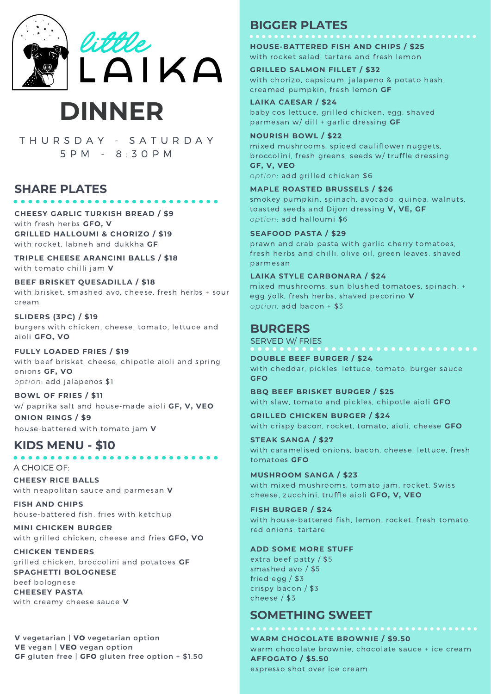

# **DINNER**

T H U R S D A Y - S A T U R D A Y 5 P M - 8 : 3 0 P M

#### **SHARE PLATES**

**CHEESY GARLIC TURKISH BREAD / \$9** with fresh herbs **GFO, V GRILLED HALLOUMI & CHORIZO / \$19** with rocket, labneh and dukkha **GF**

**TRIPLE CHEESE ARANCINI BALLS / \$18** with tomato chilli jam **V**

**BEEF BRISKET QUESADILLA / \$18** with brisket, smashed avo, cheese, fresh herbs + sour cream

**SLIDERS (3PC) / \$19** burgers with chicken, cheese, tomato, lettuce and aioli **GFO, VO**

**FULLY LOADED FRIES / \$19** with beef brisket, cheese, chipotle aioli and spring onions **GF, VO** *option*: add jalapenos \$1

**BOWL OF FRIES / \$11** w/ paprika salt and house-made aioli **GF, V, VEO ONION RINGS / \$9** house-battered with tomato jam **V**

#### **KIDS MENU - \$10**

A CHOICE OF:

**CHEESY RICE BALLS** with neapolitan sauce and parmesan **V**

**FISH AND CHIPS** house-battered fish, fries with ketchup

**MINI CHICKEN BURGER** with grilled chicken, cheese and fries **GFO, VO**

**CHICKEN TENDERS** grilled chicken, broccolini and potatoes **GF SPAGHETTI BOLOGNESE** beef bolognese **CHEESEY PASTA** with creamy cheese sauce **V**

**V** vegetarian | **VO** vegetarian option **VE** vegan | **VEO** vegan option **GF** gluten free | **GFO** gluten free option + \$1.50

#### **BIGGER PLATES**

**HOUSE-BATTERED FISH AND CHIPS / \$25** with rocket salad, tartare and fresh lemon

**GRILLED SALMON FILLET / \$32** with chorizo, capsicum, jalapeno & potato hash, creamed pumpkin, fresh lemon **GF**

**LAIKA CAESAR / \$24** baby cos lettuce, grilled chicken, egg, shaved parmesan w/ dill + garlic dressing **GF**

**NOURISH BOWL / \$22** mixed mushrooms, spiced cauliflower nuggets, broccolini, fresh greens, seeds w/ truffle dressing **GF, V, VEO** *option*: add grilled chicken \$6

**MAPLE ROASTED BRUSSELS / \$26** smokey pumpkin, spinach, avocado, quinoa, walnuts, toasted seeds and Dijon dressing **V, VE, GF** *option*: add halloumi \$6

#### **SEAFOOD PASTA / \$29**

prawn and crab pasta with garlic cherry tomatoes, fresh herbs and chilli, olive oil, green leaves, shaved parmesan

**LAIKA STYLE CARBONARA / \$24** mixed mushrooms, sun blushed tomatoes, spinach, + egg yolk, fresh herbs, shaved pecorino **V** *option:* add bacon + \$3

#### **BURGERS**

SERVED W/ FRIES

**DOUBLE BEEF BURGER /\$24** with cheddar, pickles, lettuce, tomato, burger sauce **GFO**

**BBQ BEEF BRISKET BURGER /\$25** with slaw, tomato and pickles, chipotle aioli **GFO**

**GRILLED CHICKEN BURGER / \$24** with crispy bacon, rocket, tomato, aioli, cheese **GFO**

**STEAK SANGA / \$27** with caramelised onions, bacon, cheese, lettuce, fresh tomatoes **GFO**

**MUSHROOM SANGA / \$23** with mixed mushrooms, tomato jam, rocket, Swiss cheese, zucchini, truffle aioli **GFO, V, VEO**

**FISH BURGER / \$24** with house-battered fish, lemon, rocket, fresh tomato, red onions, tartare

#### **ADD SOME MORE STUFF**

extra beef patty / \$5 smashed avo / \$5 fried egg / \$3 crispy bacon / \$3 cheese / \$3

#### **SOMETHING SWEET**

**WARM CHOCOLATE BROWNIE / \$9.50** warm chocolate brownie, chocolate sauce + ice cream **AFFOGATO / \$5.50** espresso shot over ice cream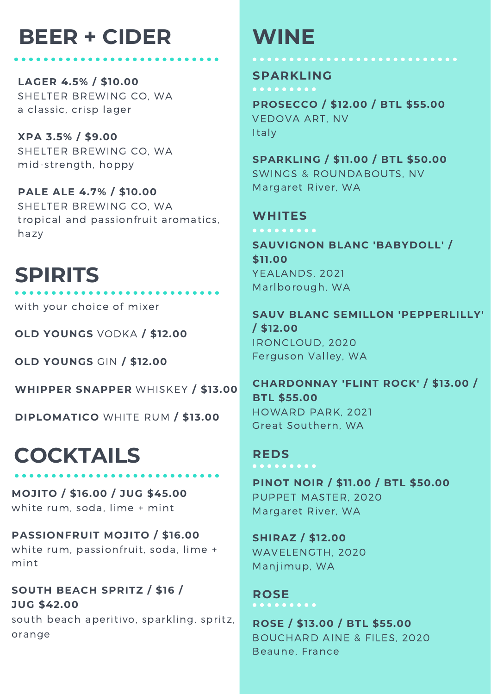# **BEER + CIDER WINE**

**LAGER 4.5% / \$10.00** SHELTER BREWING CO, WA a classic, crisp lager

**XPA 3.5% / \$9.00** SHELTER BREWING CO, WA mid-strength, hoppy

**PALE ALE 4.7% / \$10.00** SHELTER BREWING CO, WA tropical and passionfruit aromatics, hazy

# **SPIRITS**

with your choice of mixer

**OLD YOUNGS** VODKA **/ \$12.00**

**OLD YOUNGS** GIN **/ \$12.00**

**WHIPPER SNAPPER** WHISKEY **/ \$13.00**

**DIPLOMATICO** WHITE RUM **/ \$13.00**

# **COCKTAILS**

orange

**MOJITO / \$16.00 / JUG \$45.00** white rum, soda, lime + mint

**PASSIONFRUIT MOJITO / \$16.00** white rum, passionfruit, soda, lime + mint

**SOUTH BEACH SPRITZ / \$16 / JUG \$42.00** south beach aperitivo, sparkling, spritz,

#### **SPARKLING**

**PROSECCO / \$12.00 / BTL \$55.00** VEDOVA ART, NV Italy

**SPARKLING / \$11.00 / BTL \$50.00** SWINGS & ROUNDABOUTS, NV Margaret River, WA

### **WHITES**

**SAUVIGNON BLANC 'BABYDOLL' / \$11.00** YEALANDS, 2021 Marlborough, WA

**SAUV BLANC SEMILLON 'PEPPERLILLY' / \$12.00** IRONCLOUD, 2020 Ferguson Valley, WA

**CHARDONNAY 'FLINT ROCK' / \$13.00 / BTL \$55.00** HOWARD PARK, 2021 Great Southern, WA

**PINOT NOIR / \$11.00 / BTL \$50.00** PUPPET MASTER, 2020 Margaret River, WA

**SHIRAZ / \$12.00** WAVELENGTH, 2020 Manjimup, WA

**ROSE**

**REDS**

**ROSE / \$13.00 / BTL \$55.00** BOUCHARD AINE & FILES, 2020 Beaune, France